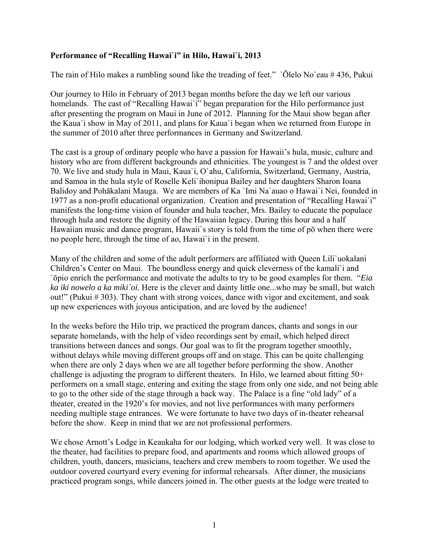## **Performance of "Recalling Hawai`i" in Hilo, Hawai`i, 2013**

The rain of Hilo makes a rumbling sound like the treading of feet." `Ōlelo No`eau # 436, Pukui

Our journey to Hilo in February of 2013 began months before the day we left our various homelands. The cast of "Recalling Hawai'i" began preparation for the Hilo performance just after presenting the program on Maui in June of 2012. Planning for the Maui show began after the Kaua`i show in May of 2011, and plans for Kaua`i began when we returned from Europe in the summer of 2010 after three performances in Germany and Switzerland.

The cast is a group of ordinary people who have a passion for Hawaii's hula, music, culture and history who are from different backgrounds and ethnicities. The youngest is 7 and the oldest over 70. We live and study hula in Maui, Kaua`i, O`ahu, California, Switzerland, Germany, Austria, and Samoa in the hula style of Roselle Keli`ihonipua Bailey and her daughters Sharon Ioana Balidoy and Pohākalani Mauga. We are members of Ka `Imi Na`auao o Hawai`i Nei, founded in 1977 as a non-profit educational organization. Creation and presentation of "Recalling Hawai`i" manifests the long-time vision of founder and hula teacher, Mrs. Bailey to educate the populace through hula and restore the dignity of the Hawaiian legacy. During this hour and a half Hawaiian music and dance program, Hawaii`s story is told from the time of pō when there were no people here, through the time of ao, Hawai`i in the present.

Many of the children and some of the adult performers are affiliated with Queen Lili`uokalani Children's Center on Maui. The boundless energy and quick cleverness of the kamali`i and `ōpio enrich the performance and motivate the adults to try to be good examples for them. "*Eia ka iki nowelo a ka miki`oi.* Here is the clever and dainty little one...who may be small, but watch out!" (Pukui # 303). They chant with strong voices, dance with vigor and excitement, and soak up new experiences with joyous anticipation, and are loved by the audience!

In the weeks before the Hilo trip, we practiced the program dances, chants and songs in our separate homelands, with the help of video recordings sent by email, which helped direct transitions between dances and songs. Our goal was to fit the program together smoothly, without delays while moving different groups off and on stage. This can be quite challenging when there are only 2 days when we are all together before performing the show. Another challenge is adjusting the program to different theaters. In Hilo, we learned about fitting 50+ performers on a small stage, entering and exiting the stage from only one side, and not being able to go to the other side of the stage through a back way. The Palace is a fine "old lady" of a theater, created in the 1920's for movies, and not live performances with many performers needing multiple stage entrances. We were fortunate to have two days of in-theater rehearsal before the show. Keep in mind that we are not professional performers.

We chose Arnott's Lodge in Keaukaha for our lodging, which worked very well. It was close to the theater, had facilities to prepare food, and apartments and rooms which allowed groups of children, youth, dancers, musicians, teachers and crew members to room together. We used the outdoor covered courtyard every evening for informal rehearsals. After dinner, the musicians practiced program songs, while dancers joined in. The other guests at the lodge were treated to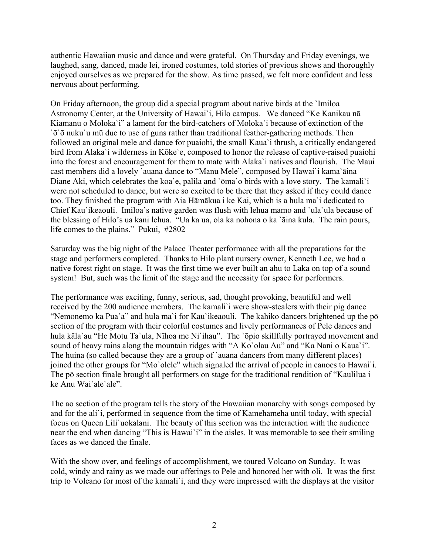authentic Hawaiian music and dance and were grateful. On Thursday and Friday evenings, we laughed, sang, danced, made lei, ironed costumes, told stories of previous shows and thoroughly enjoyed ourselves as we prepared for the show. As time passed, we felt more confident and less nervous about performing.

On Friday afternoon, the group did a special program about native birds at the `Imiloa Astronomy Center, at the University of Hawai`i, Hilo campus. We danced "Ke Kanikau nā Kiamanu o Moloka`i" a lament for the bird-catchers of Moloka`i because of extinction of the `ō`ō nuku`u mū due to use of guns rather than traditional feather-gathering methods. Then followed an original mele and dance for puaiohi, the small Kaua`i thrush, a critically endangered bird from Alaka`i wilderness in Kōke`e, composed to honor the release of captive-raised puaiohi into the forest and encouragement for them to mate with Alaka`i natives and flourish. The Maui cast members did a lovely `auana dance to "Manu Mele", composed by Hawai`i kama`āina Diane Aki, which celebrates the koa'e, palila and 'ōma'o birds with a love story. The kamali'i were not scheduled to dance, but were so excited to be there that they asked if they could dance too. They finished the program with Aia Hāmākua i ke Kai, which is a hula ma`i dedicated to Chief Kau`ikeaouli. Imiloa's native garden was flush with lehua mamo and `ula`ula because of the blessing of Hilo's ua kani lehua. "Ua ka ua, ola ka nohona o ka `āina kula. The rain pours, life comes to the plains." Pukui, #2802

Saturday was the big night of the Palace Theater performance with all the preparations for the stage and performers completed. Thanks to Hilo plant nursery owner, Kenneth Lee, we had a native forest right on stage. It was the first time we ever built an ahu to Laka on top of a sound system! But, such was the limit of the stage and the necessity for space for performers.

The performance was exciting, funny, serious, sad, thought provoking, beautiful and well received by the 200 audience members. The kamali`i were show-stealers with their pig dance "Nemonemo ka Pua`a" and hula ma`i for Kau`ikeaouli. The kahiko dancers brightened up the pō section of the program with their colorful costumes and lively performances of Pele dances and hula kāla`au "He Motu Ta`ula, Nīhoa me Ni`ihau". The `ōpio skillfully portrayed movement and sound of heavy rains along the mountain ridges with "A Ko`olau Au" and "Ka Nani o Kaua`i". The huina (so called because they are a group of `auana dancers from many different places) joined the other groups for "Mo`olele" which signaled the arrival of people in canoes to Hawai`i. The pō section finale brought all performers on stage for the traditional rendition of "Kaulilua i ke Anu Wai`ale`ale".

The ao section of the program tells the story of the Hawaiian monarchy with songs composed by and for the ali`i, performed in sequence from the time of Kamehameha until today, with special focus on Queen Lili`uokalani. The beauty of this section was the interaction with the audience near the end when dancing "This is Hawai`i" in the aisles. It was memorable to see their smiling faces as we danced the finale.

With the show over, and feelings of accomplishment, we toured Volcano on Sunday. It was cold, windy and rainy as we made our offerings to Pele and honored her with oli. It was the first trip to Volcano for most of the kamali`i, and they were impressed with the displays at the visitor